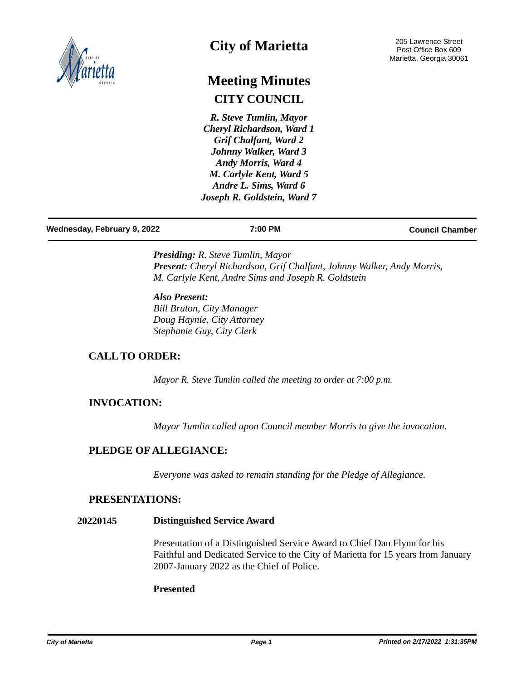

# **City of Marietta**

# **Meeting Minutes CITY COUNCIL**

*R. Steve Tumlin, Mayor Cheryl Richardson, Ward 1 Grif Chalfant, Ward 2 Johnny Walker, Ward 3 Andy Morris, Ward 4 M. Carlyle Kent, Ward 5 Andre L. Sims, Ward 6 Joseph R. Goldstein, Ward 7*

#### **Wednesday, February 9, 2022 7:00 PM Council Chamber**

*Presiding: R. Steve Tumlin, Mayor Present: Cheryl Richardson, Grif Chalfant, Johnny Walker, Andy Morris, M. Carlyle Kent, Andre Sims and Joseph R. Goldstein*

# *Also Present:*

*Bill Bruton, City Manager Doug Haynie, City Attorney Stephanie Guy, City Clerk*

# **CALL TO ORDER:**

*Mayor R. Steve Tumlin called the meeting to order at 7:00 p.m.*

# **INVOCATION:**

*Mayor Tumlin called upon Council member Morris to give the invocation.*

# **PLEDGE OF ALLEGIANCE:**

*Everyone was asked to remain standing for the Pledge of Allegiance.*

### **PRESENTATIONS:**

#### **20220145 Distinguished Service Award**

Presentation of a Distinguished Service Award to Chief Dan Flynn for his Faithful and Dedicated Service to the City of Marietta for 15 years from January 2007-January 2022 as the Chief of Police.

### **Presented**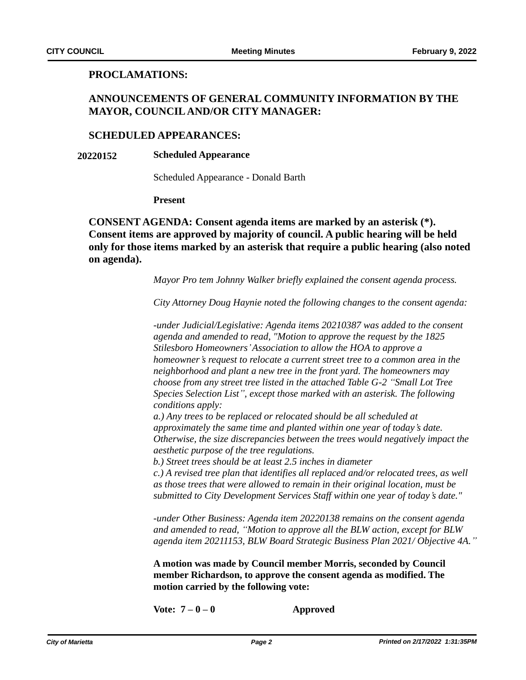# **PROCLAMATIONS:**

# **ANNOUNCEMENTS OF GENERAL COMMUNITY INFORMATION BY THE MAYOR, COUNCIL AND/OR CITY MANAGER:**

## **SCHEDULED APPEARANCES:**

### **20220152 Scheduled Appearance**

Scheduled Appearance - Donald Barth

**Present**

**CONSENT AGENDA: Consent agenda items are marked by an asterisk (\*). Consent items are approved by majority of council. A public hearing will be held only for those items marked by an asterisk that require a public hearing (also noted on agenda).**

*Mayor Pro tem Johnny Walker briefly explained the consent agenda process.*

*City Attorney Doug Haynie noted the following changes to the consent agenda:*

*-under Judicial/Legislative: Agenda items 20210387 was added to the consent agenda and amended to read, "Motion to approve the request by the 1825 Stilesboro Homeowners'Association to allow the HOA to approve a homeowner's request to relocate a current street tree to a common area in the neighborhood and plant a new tree in the front yard. The homeowners may choose from any street tree listed in the attached Table G-2 "Small Lot Tree Species Selection List", except those marked with an asterisk. The following conditions apply:*

*a.) Any trees to be replaced or relocated should be all scheduled at approximately the same time and planted within one year of today's date. Otherwise, the size discrepancies between the trees would negatively impact the aesthetic purpose of the tree regulations.* 

*b.b.) Street trees should be at least 2.5 inches in diameter*

*c.) A revised tree plan that identifies all replaced and/or relocated trees, as well as those trees that were allowed to remain in their original location, must be submitted to City Development Services Staff within one year of today's date."*

*-under Other Business: Agenda item 20220138 remains on the consent agenda and amended to read, "Motion to approve all the BLW action, except for BLW agenda item 20211153, BLW Board Strategic Business Plan 2021/ Objective 4A."*

**A motion was made by Council member Morris, seconded by Council member Richardson, to approve the consent agenda as modified. The motion carried by the following vote:**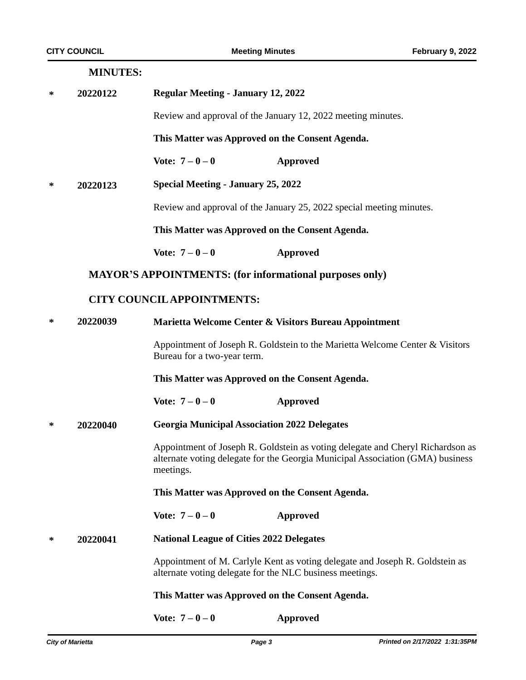| <b>MINUTES:</b> |  |
|-----------------|--|
|-----------------|--|

**\* 20220122 Regular Meeting - January 12, 2022**

Review and approval of the January 12, 2022 meeting minutes.

**This Matter was Approved on the Consent Agenda.**

**Vote: 7 – 0 – 0 Approved**

**Special Meeting - January 25, 2022 \* 20220123**

Review and approval of the January 25, 2022 special meeting minutes.

**This Matter was Approved on the Consent Agenda.**

**Vote: 7 – 0 – 0 Approved**

#### **MAYOR'S APPOINTMENTS: (for informational purposes only)**

# **CITY COUNCIL APPOINTMENTS:**

**\* 20220039 Marietta Welcome Center & Visitors Bureau Appointment**

Appointment of Joseph R. Goldstein to the Marietta Welcome Center & Visitors Bureau for a two-year term.

**This Matter was Approved on the Consent Agenda.**

**Vote: 7 – 0 – 0 Approved**

**Georgia Municipal Association 2022 Delegates \* 20220040**

> Appointment of Joseph R. Goldstein as voting delegate and Cheryl Richardson as alternate voting delegate for the Georgia Municipal Association (GMA) business meetings.

**This Matter was Approved on the Consent Agenda.**

**Vote: 7 – 0 – 0 Approved**

**National League of Cities 2022 Delegates \* 20220041**

> Appointment of M. Carlyle Kent as voting delegate and Joseph R. Goldstein as alternate voting delegate for the NLC business meetings.

#### **This Matter was Approved on the Consent Agenda.**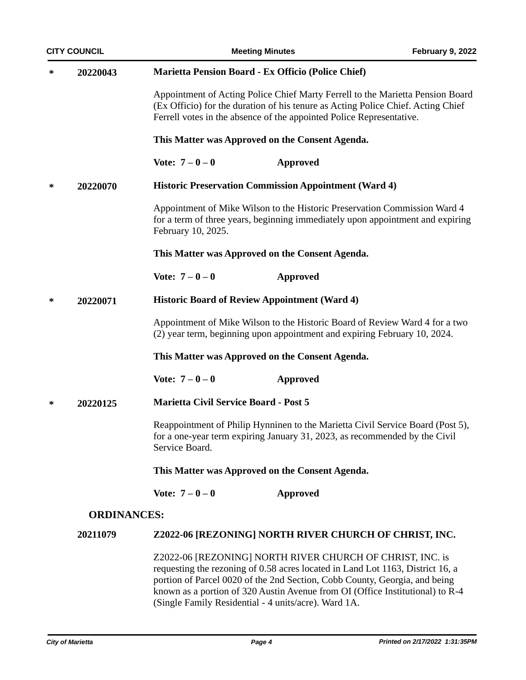| <b>CITY COUNCIL</b> |                    | <b>Meeting Minutes</b>                                                                                                                                                            |                                                                                                                                                                                                                                                                                                                                                                    | February 9, 2022 |  |  |
|---------------------|--------------------|-----------------------------------------------------------------------------------------------------------------------------------------------------------------------------------|--------------------------------------------------------------------------------------------------------------------------------------------------------------------------------------------------------------------------------------------------------------------------------------------------------------------------------------------------------------------|------------------|--|--|
| ∗                   | 20220043           |                                                                                                                                                                                   | Marietta Pension Board - Ex Officio (Police Chief)                                                                                                                                                                                                                                                                                                                 |                  |  |  |
|                     |                    |                                                                                                                                                                                   | Appointment of Acting Police Chief Marty Ferrell to the Marietta Pension Board<br>(Ex Officio) for the duration of his tenure as Acting Police Chief. Acting Chief<br>Ferrell votes in the absence of the appointed Police Representative.                                                                                                                         |                  |  |  |
|                     |                    |                                                                                                                                                                                   | This Matter was Approved on the Consent Agenda.                                                                                                                                                                                                                                                                                                                    |                  |  |  |
|                     |                    | Vote: $7 - 0 - 0$                                                                                                                                                                 | <b>Approved</b>                                                                                                                                                                                                                                                                                                                                                    |                  |  |  |
| ∗                   | 20220070           |                                                                                                                                                                                   | <b>Historic Preservation Commission Appointment (Ward 4)</b>                                                                                                                                                                                                                                                                                                       |                  |  |  |
|                     |                    | Appointment of Mike Wilson to the Historic Preservation Commission Ward 4<br>for a term of three years, beginning immediately upon appointment and expiring<br>February 10, 2025. |                                                                                                                                                                                                                                                                                                                                                                    |                  |  |  |
|                     |                    |                                                                                                                                                                                   | This Matter was Approved on the Consent Agenda.                                                                                                                                                                                                                                                                                                                    |                  |  |  |
|                     |                    | Vote: $7 - 0 - 0$                                                                                                                                                                 | <b>Approved</b>                                                                                                                                                                                                                                                                                                                                                    |                  |  |  |
| ∗                   | 20220071           | <b>Historic Board of Review Appointment (Ward 4)</b>                                                                                                                              |                                                                                                                                                                                                                                                                                                                                                                    |                  |  |  |
|                     |                    | Appointment of Mike Wilson to the Historic Board of Review Ward 4 for a two<br>(2) year term, beginning upon appointment and expiring February 10, 2024.                          |                                                                                                                                                                                                                                                                                                                                                                    |                  |  |  |
|                     |                    | This Matter was Approved on the Consent Agenda.                                                                                                                                   |                                                                                                                                                                                                                                                                                                                                                                    |                  |  |  |
|                     |                    | Vote: $7 - 0 - 0$                                                                                                                                                                 | <b>Approved</b>                                                                                                                                                                                                                                                                                                                                                    |                  |  |  |
| ∗                   | 20220125           | <b>Marietta Civil Service Board - Post 5</b>                                                                                                                                      |                                                                                                                                                                                                                                                                                                                                                                    |                  |  |  |
|                     |                    | Reappointment of Philip Hynninen to the Marietta Civil Service Board (Post 5),<br>for a one-year term expiring January 31, 2023, as recommended by the Civil<br>Service Board.    |                                                                                                                                                                                                                                                                                                                                                                    |                  |  |  |
|                     |                    | This Matter was Approved on the Consent Agenda.                                                                                                                                   |                                                                                                                                                                                                                                                                                                                                                                    |                  |  |  |
|                     |                    | Vote: $7 - 0 - 0$                                                                                                                                                                 | <b>Approved</b>                                                                                                                                                                                                                                                                                                                                                    |                  |  |  |
|                     | <b>ORDINANCES:</b> |                                                                                                                                                                                   |                                                                                                                                                                                                                                                                                                                                                                    |                  |  |  |
|                     | 20211079           | Z2022-06 [REZONING] NORTH RIVER CHURCH OF CHRIST, INC.                                                                                                                            |                                                                                                                                                                                                                                                                                                                                                                    |                  |  |  |
|                     |                    |                                                                                                                                                                                   | Z2022-06 [REZONING] NORTH RIVER CHURCH OF CHRIST, INC. is<br>requesting the rezoning of 0.58 acres located in Land Lot 1163, District 16, a<br>portion of Parcel 0020 of the 2nd Section, Cobb County, Georgia, and being<br>known as a portion of 320 Austin Avenue from OI (Office Institutional) to R-4<br>(Single Family Residential - 4 units/acre). Ward 1A. |                  |  |  |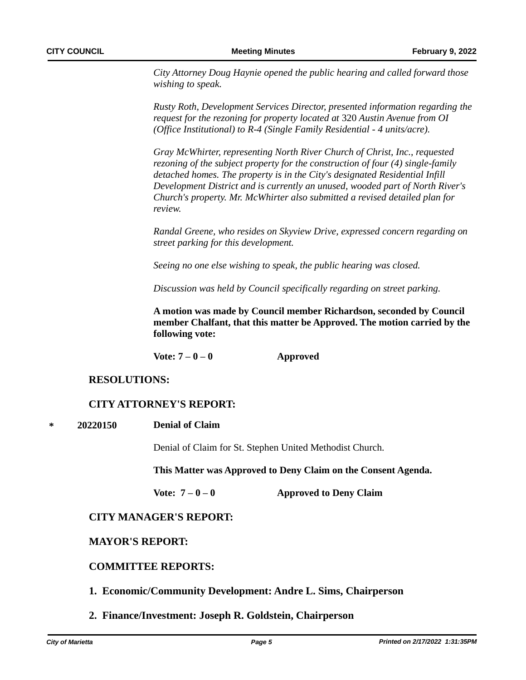*City Attorney Doug Haynie opened the public hearing and called forward those wishing to speak.*

*Rusty Roth, Development Services Director, presented information regarding the request for the rezoning for property located at* 320 *Austin Avenue from OI (Office Institutional) to R-4 (Single Family Residential - 4 units/acre).* 

*Gray McWhirter, representing North River Church of Christ, Inc., requested rezoning of the subject property for the construction of four (4) single-family detached homes. The property is in the City's designated Residential Infill Development District and is currently an unused, wooded part of North River's Church's property. Mr. McWhirter also submitted a revised detailed plan for review.*

*Randal Greene, who resides on Skyview Drive, expressed concern regarding on street parking for this development.*

*Seeing no one else wishing to speak, the public hearing was closed.*

*Discussion was held by Council specifically regarding on street parking.* 

**A motion was made by Council member Richardson, seconded by Council member Chalfant, that this matter be Approved. The motion carried by the following vote:**

**Vote: 7 – 0 – 0 Approved**

# **RESOLUTIONS:**

# **CITY ATTORNEY'S REPORT:**

**\* 20220150 Denial of Claim**

Denial of Claim for St. Stephen United Methodist Church.

**This Matter was Approved to Deny Claim on the Consent Agenda.**

**Vote: 7 – 0 – 0 Approved to Deny Claim**

# **CITY MANAGER'S REPORT:**

# **MAYOR'S REPORT:**

# **COMMITTEE REPORTS:**

- **1. Economic/Community Development: Andre L. Sims, Chairperson**
- **2. Finance/Investment: Joseph R. Goldstein, Chairperson**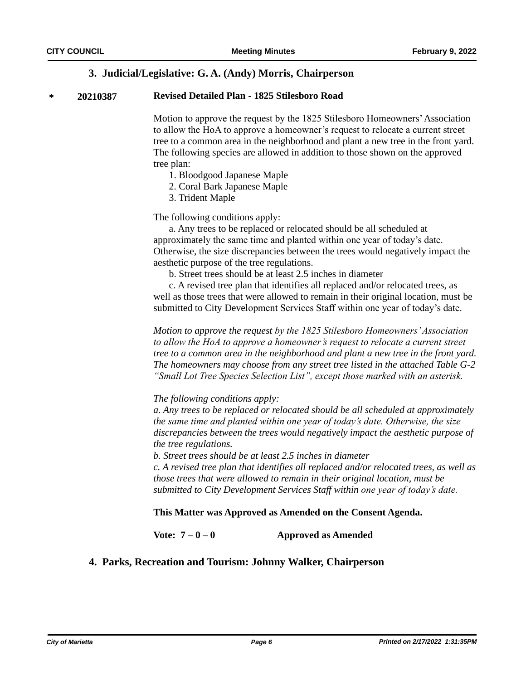# **3. Judicial/Legislative: G. A. (Andy) Morris, Chairperson**

### **\* 20210387 Revised Detailed Plan - 1825 Stilesboro Road**

Motion to approve the request by the 1825 Stilesboro Homeowners' Association to allow the HoA to approve a homeowner's request to relocate a current street tree to a common area in the neighborhood and plant a new tree in the front yard. The following species are allowed in addition to those shown on the approved tree plan:

- 1. Bloodgood Japanese Maple
- 2. Coral Bark Japanese Maple
- 3. Trident Maple

The following conditions apply:

a. Any trees to be replaced or relocated should be all scheduled at approximately the same time and planted within one year of today's date. Otherwise, the size discrepancies between the trees would negatively impact the aesthetic purpose of the tree regulations.

b. Street trees should be at least 2.5 inches in diameter

c. A revised tree plan that identifies all replaced and/or relocated trees, as well as those trees that were allowed to remain in their original location, must be submitted to City Development Services Staff within one year of today's date.

*Motion to approve the request by the 1825 Stilesboro Homeowners' Association to allow the HoA to approve a homeowner's request to relocate a current street tree to a common area in the neighborhood and plant a new tree in the front yard. The homeowners may choose from any street tree listed in the attached Table G-2 "Small Lot Tree Species Selection List", except those marked with an asterisk.*

*The following conditions apply:*

*a. Any trees to be replaced or relocated should be all scheduled at approximately the same time and planted within one year of today's date. Otherwise, the size discrepancies between the trees would negatively impact the aesthetic purpose of the tree regulations.* 

*b. Street trees should be at least 2.5 inches in diameter c. A revised tree plan that identifies all replaced and/or relocated trees, as well as those trees that were allowed to remain in their original location, must be submitted to City Development Services Staff within one year of today's date.*

### **This Matter was Approved as Amended on the Consent Agenda.**

**Vote: 7 – 0 – 0 Approved as Amended**

# **4. Parks, Recreation and Tourism: Johnny Walker, Chairperson**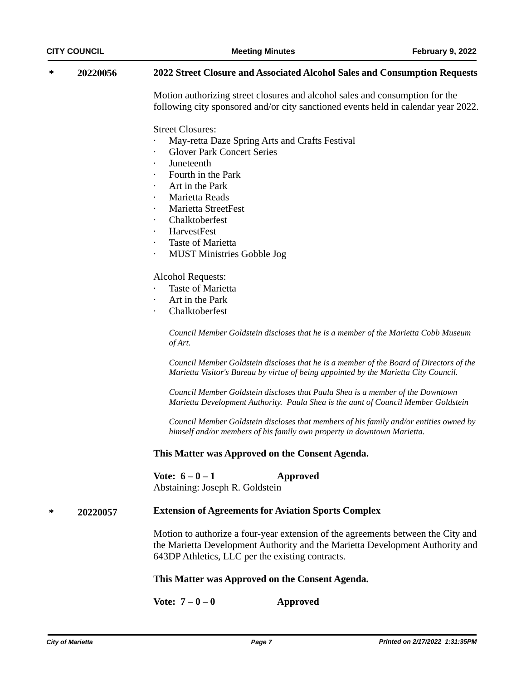|  | 20220056 | 2022 Street Closure and Associated Alcohol Sales and Consumption Requests |  |
|--|----------|---------------------------------------------------------------------------|--|
|--|----------|---------------------------------------------------------------------------|--|

Motion authorizing street closures and alcohol sales and consumption for the following city sponsored and/or city sanctioned events held in calendar year 2022.

Street Closures:

- May-retta Daze Spring Arts and Crafts Festival
- **Glover Park Concert Series**
- · Juneteenth
- Fourth in the Park
- Art in the Park
- Marietta Reads
- Marietta StreetFest
- Chalktoberfest
- · HarvestFest
- Taste of Marietta
- · MUST Ministries Gobble Jog

#### Alcohol Requests:

- Taste of Marietta
- Art in the Park
- **Chalktoberfest**

*Council Member Goldstein discloses that he is a member of the Marietta Cobb Museum of Art.*

*Council Member Goldstein discloses that he is a member of the Board of Directors of the Marietta Visitor's Bureau by virtue of being appointed by the Marietta City Council.*

*Council Member Goldstein discloses that Paula Shea is a member of the Downtown Marietta Development Authority. Paula Shea is the aunt of Council Member Goldstein*

*Council Member Goldstein discloses that members of his family and/or entities owned by himself and/or members of his family own property in downtown Marietta.*

#### **This Matter was Approved on the Consent Agenda.**

**Vote: 6 – 0 – 1 Approved** Abstaining: Joseph R. Goldstein

#### **Extension of Agreements for Aviation Sports Complex \* 20220057**

Motion to authorize a four-year extension of the agreements between the City and the Marietta Development Authority and the Marietta Development Authority and 643DP Athletics, LLC per the existing contracts.

#### **This Matter was Approved on the Consent Agenda.**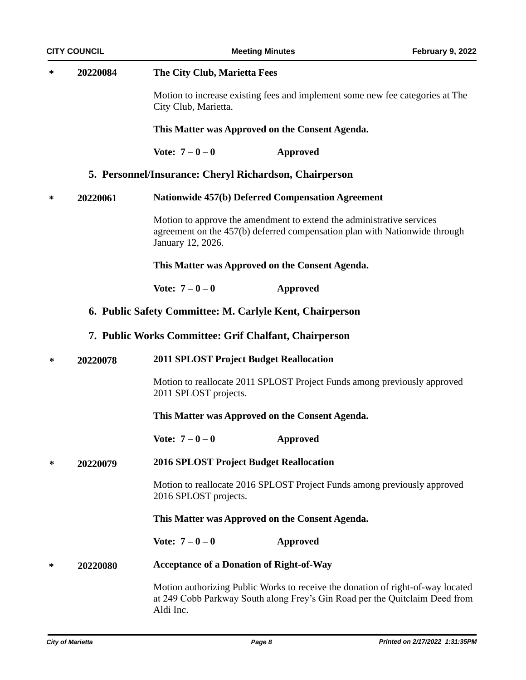| ∗ | 20220084             | The City Club, Marietta Fees                                                                      |                                                                                                                                                                |  |  |
|---|----------------------|---------------------------------------------------------------------------------------------------|----------------------------------------------------------------------------------------------------------------------------------------------------------------|--|--|
|   | City Club, Marietta. |                                                                                                   | Motion to increase existing fees and implement some new fee categories at The                                                                                  |  |  |
|   |                      | This Matter was Approved on the Consent Agenda.                                                   |                                                                                                                                                                |  |  |
|   |                      | Vote: $7 - 0 - 0$                                                                                 | <b>Approved</b>                                                                                                                                                |  |  |
|   |                      | 5. Personnel/Insurance: Cheryl Richardson, Chairperson                                            |                                                                                                                                                                |  |  |
| ∗ | 20220061             | <b>Nationwide 457(b) Deferred Compensation Agreement</b>                                          |                                                                                                                                                                |  |  |
|   |                      | January 12, 2026.                                                                                 | Motion to approve the amendment to extend the administrative services<br>agreement on the 457(b) deferred compensation plan with Nationwide through            |  |  |
|   |                      |                                                                                                   | This Matter was Approved on the Consent Agenda.                                                                                                                |  |  |
|   |                      | Vote: $7 - 0 - 0$                                                                                 | <b>Approved</b>                                                                                                                                                |  |  |
|   |                      |                                                                                                   | 6. Public Safety Committee: M. Carlyle Kent, Chairperson                                                                                                       |  |  |
|   |                      | 7. Public Works Committee: Grif Chalfant, Chairperson                                             |                                                                                                                                                                |  |  |
| ∗ | 20220078             | <b>2011 SPLOST Project Budget Reallocation</b>                                                    |                                                                                                                                                                |  |  |
|   |                      | 2011 SPLOST projects.                                                                             | Motion to reallocate 2011 SPLOST Project Funds among previously approved                                                                                       |  |  |
|   |                      |                                                                                                   | This Matter was Approved on the Consent Agenda.                                                                                                                |  |  |
|   |                      | Vote: $7 - 0 - 0$                                                                                 | <b>Approved</b>                                                                                                                                                |  |  |
| ∗ | 20220079             | <b>2016 SPLOST Project Budget Reallocation</b>                                                    |                                                                                                                                                                |  |  |
|   |                      | Motion to reallocate 2016 SPLOST Project Funds among previously approved<br>2016 SPLOST projects. |                                                                                                                                                                |  |  |
|   |                      | This Matter was Approved on the Consent Agenda.                                                   |                                                                                                                                                                |  |  |
|   |                      | Vote: $7 - 0 - 0$                                                                                 | <b>Approved</b>                                                                                                                                                |  |  |
| ∗ | 20220080             | <b>Acceptance of a Donation of Right-of-Way</b>                                                   |                                                                                                                                                                |  |  |
|   |                      | Aldi Inc.                                                                                         | Motion authorizing Public Works to receive the donation of right-of-way located<br>at 249 Cobb Parkway South along Frey's Gin Road per the Quitclaim Deed from |  |  |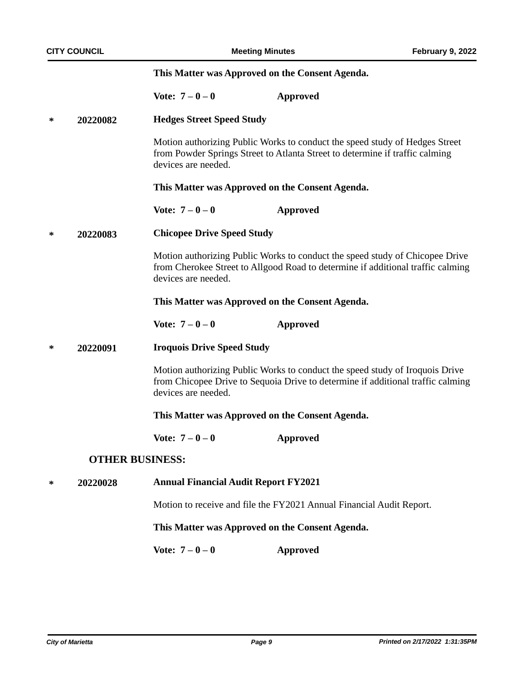|   |                        | This Matter was Approved on the Consent Agenda.                                                                                                                                        |                 |  |
|---|------------------------|----------------------------------------------------------------------------------------------------------------------------------------------------------------------------------------|-----------------|--|
|   |                        | Vote: $7 - 0 - 0$                                                                                                                                                                      | <b>Approved</b> |  |
| ∗ | 20220082               | <b>Hedges Street Speed Study</b>                                                                                                                                                       |                 |  |
|   |                        | Motion authorizing Public Works to conduct the speed study of Hedges Street<br>from Powder Springs Street to Atlanta Street to determine if traffic calming<br>devices are needed.     |                 |  |
|   |                        | This Matter was Approved on the Consent Agenda.                                                                                                                                        |                 |  |
|   |                        | Vote: $7 - 0 - 0$                                                                                                                                                                      | <b>Approved</b> |  |
| ∗ | 20220083               | <b>Chicopee Drive Speed Study</b>                                                                                                                                                      |                 |  |
|   |                        | Motion authorizing Public Works to conduct the speed study of Chicopee Drive<br>from Cherokee Street to Allgood Road to determine if additional traffic calming<br>devices are needed. |                 |  |
|   |                        | This Matter was Approved on the Consent Agenda.                                                                                                                                        |                 |  |
|   |                        | Vote: $7 - 0 - 0$                                                                                                                                                                      | <b>Approved</b> |  |
| ∗ | 20220091               | <b>Iroquois Drive Speed Study</b>                                                                                                                                                      |                 |  |
|   |                        | Motion authorizing Public Works to conduct the speed study of Iroquois Drive<br>from Chicopee Drive to Sequoia Drive to determine if additional traffic calming<br>devices are needed. |                 |  |
|   |                        | This Matter was Approved on the Consent Agenda.                                                                                                                                        |                 |  |
|   |                        | Vote: $7 - 0 - 0$                                                                                                                                                                      | Approved        |  |
|   | <b>OTHER BUSINESS:</b> |                                                                                                                                                                                        |                 |  |
| ∗ | 20220028               | <b>Annual Financial Audit Report FY2021</b>                                                                                                                                            |                 |  |
|   |                        | Motion to receive and file the FY2021 Annual Financial Audit Report.                                                                                                                   |                 |  |
|   |                        | This Matter was Approved on the Consent Agenda.                                                                                                                                        |                 |  |
|   |                        | Vote: $7 - 0 - 0$                                                                                                                                                                      | <b>Approved</b> |  |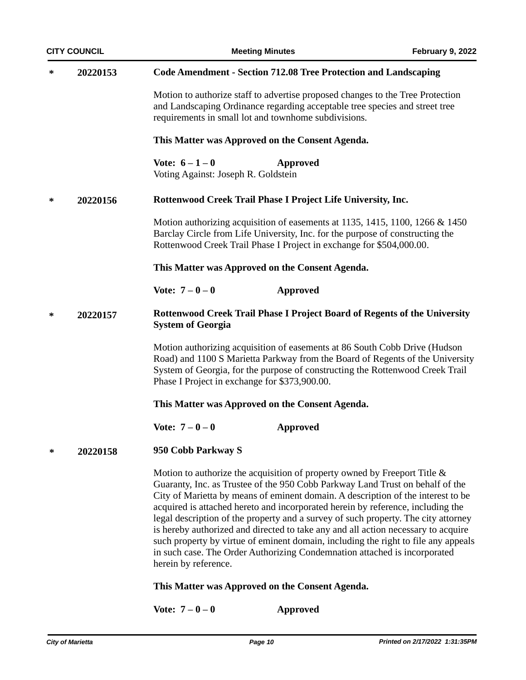| <b>CITY COUNCIL</b> |                                                                          | <b>Meeting Minutes</b>                                                                                                                                                                                                |                                                                                                                                                                                                                                                                                                                                                                                                                                                                                                                       | <b>February 9, 2022</b> |
|---------------------|--------------------------------------------------------------------------|-----------------------------------------------------------------------------------------------------------------------------------------------------------------------------------------------------------------------|-----------------------------------------------------------------------------------------------------------------------------------------------------------------------------------------------------------------------------------------------------------------------------------------------------------------------------------------------------------------------------------------------------------------------------------------------------------------------------------------------------------------------|-------------------------|
| ∗                   | 20220153                                                                 | <b>Code Amendment - Section 712.08 Tree Protection and Landscaping</b>                                                                                                                                                |                                                                                                                                                                                                                                                                                                                                                                                                                                                                                                                       |                         |
|                     |                                                                          | Motion to authorize staff to advertise proposed changes to the Tree Protection<br>and Landscaping Ordinance regarding acceptable tree species and street tree<br>requirements in small lot and townhome subdivisions. |                                                                                                                                                                                                                                                                                                                                                                                                                                                                                                                       |                         |
|                     |                                                                          | This Matter was Approved on the Consent Agenda.                                                                                                                                                                       |                                                                                                                                                                                                                                                                                                                                                                                                                                                                                                                       |                         |
|                     |                                                                          | Vote: $6 - 1 - 0$<br>Voting Against: Joseph R. Goldstein                                                                                                                                                              | <b>Approved</b>                                                                                                                                                                                                                                                                                                                                                                                                                                                                                                       |                         |
| ∗                   | Rottenwood Creek Trail Phase I Project Life University, Inc.<br>20220156 |                                                                                                                                                                                                                       |                                                                                                                                                                                                                                                                                                                                                                                                                                                                                                                       |                         |
|                     |                                                                          |                                                                                                                                                                                                                       | Motion authorizing acquisition of easements at 1135, 1415, 1100, 1266 & 1450<br>Barclay Circle from Life University, Inc. for the purpose of constructing the<br>Rottenwood Creek Trail Phase I Project in exchange for \$504,000.00.                                                                                                                                                                                                                                                                                 |                         |
|                     |                                                                          | This Matter was Approved on the Consent Agenda.                                                                                                                                                                       |                                                                                                                                                                                                                                                                                                                                                                                                                                                                                                                       |                         |
|                     |                                                                          | Vote: $7 - 0 - 0$                                                                                                                                                                                                     | Approved                                                                                                                                                                                                                                                                                                                                                                                                                                                                                                              |                         |
| ∗                   | 20220157                                                                 | <b>System of Georgia</b>                                                                                                                                                                                              | Rottenwood Creek Trail Phase I Project Board of Regents of the University                                                                                                                                                                                                                                                                                                                                                                                                                                             |                         |
|                     |                                                                          | Phase I Project in exchange for \$373,900.00.                                                                                                                                                                         | Motion authorizing acquisition of easements at 86 South Cobb Drive (Hudson<br>Road) and 1100 S Marietta Parkway from the Board of Regents of the University<br>System of Georgia, for the purpose of constructing the Rottenwood Creek Trail                                                                                                                                                                                                                                                                          |                         |
|                     |                                                                          | This Matter was Approved on the Consent Agenda.                                                                                                                                                                       |                                                                                                                                                                                                                                                                                                                                                                                                                                                                                                                       |                         |
|                     |                                                                          | Vote: $7-0-0$                                                                                                                                                                                                         | <b>Approved</b>                                                                                                                                                                                                                                                                                                                                                                                                                                                                                                       |                         |
| ∗                   | 20220158                                                                 | 950 Cobb Parkway S                                                                                                                                                                                                    |                                                                                                                                                                                                                                                                                                                                                                                                                                                                                                                       |                         |
|                     |                                                                          | Motion to authorize the acquisition of property owned by Freeport Title $\&$<br>in such case. The Order Authorizing Condemnation attached is incorporated<br>herein by reference.                                     | Guaranty, Inc. as Trustee of the 950 Cobb Parkway Land Trust on behalf of the<br>City of Marietta by means of eminent domain. A description of the interest to be<br>acquired is attached hereto and incorporated herein by reference, including the<br>legal description of the property and a survey of such property. The city attorney<br>is hereby authorized and directed to take any and all action necessary to acquire<br>such property by virtue of eminent domain, including the right to file any appeals |                         |
|                     |                                                                          | This Matter was Approved on the Consent Agenda.                                                                                                                                                                       |                                                                                                                                                                                                                                                                                                                                                                                                                                                                                                                       |                         |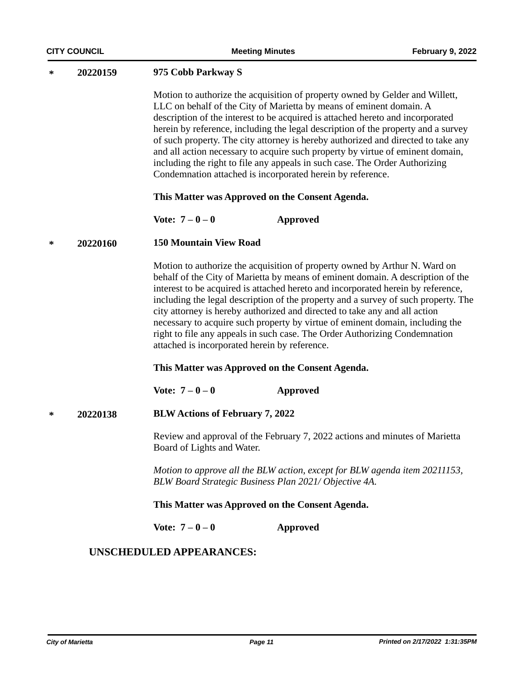#### **\* 20220159 975 Cobb Parkway S**

Motion to authorize the acquisition of property owned by Gelder and Willett, LLC on behalf of the City of Marietta by means of eminent domain. A description of the interest to be acquired is attached hereto and incorporated herein by reference, including the legal description of the property and a survey of such property. The city attorney is hereby authorized and directed to take any and all action necessary to acquire such property by virtue of eminent domain, including the right to file any appeals in such case. The Order Authorizing Condemnation attached is incorporated herein by reference.

#### **This Matter was Approved on the Consent Agenda.**

**Vote: 7 – 0 – 0 Approved**

#### **150 Mountain View Road \* 20220160**

Motion to authorize the acquisition of property owned by Arthur N. Ward on behalf of the City of Marietta by means of eminent domain. A description of the interest to be acquired is attached hereto and incorporated herein by reference, including the legal description of the property and a survey of such property. The city attorney is hereby authorized and directed to take any and all action necessary to acquire such property by virtue of eminent domain, including the right to file any appeals in such case. The Order Authorizing Condemnation attached is incorporated herein by reference.

#### **This Matter was Approved on the Consent Agenda.**

**Vote: 7 – 0 – 0 Approved**

#### **BLW Actions of February 7, 2022 \* 20220138**

Review and approval of the February 7, 2022 actions and minutes of Marietta Board of Lights and Water.

*Motion to approve all the BLW action, except for BLW agenda item 20211153, BLW Board Strategic Business Plan 2021/ Objective 4A.*

#### **This Matter was Approved on the Consent Agenda.**

**Vote: 7 – 0 – 0 Approved**

# **UNSCHEDULED APPEARANCES:**